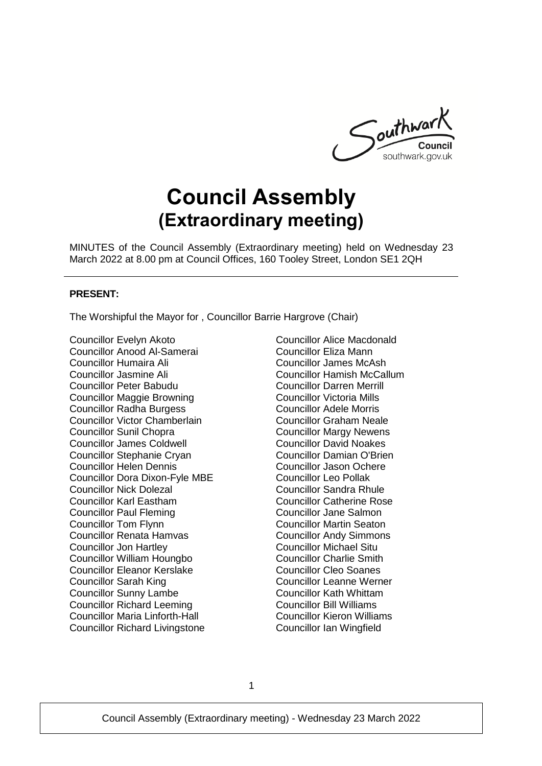

# **Council Assembly (Extraordinary meeting)**

MINUTES of the Council Assembly (Extraordinary meeting) held on Wednesday 23 March 2022 at 8.00 pm at Council Offices, 160 Tooley Street, London SE1 2QH

#### **PRESENT:**

The Worshipful the Mayor for , Councillor Barrie Hargrove (Chair)

Councillor Evelyn Akoto Councillor Anood Al-Samerai Councillor Humaira Ali Councillor Jasmine Ali Councillor Peter Babudu Councillor Maggie Browning Councillor Radha Burgess Councillor Victor Chamberlain Councillor Sunil Chopra Councillor James Coldwell Councillor Stephanie Cryan Councillor Helen Dennis Councillor Dora Dixon-Fyle MBE Councillor Nick Dolezal Councillor Karl Eastham Councillor Paul Fleming Councillor Tom Flynn Councillor Renata Hamvas Councillor Jon Hartley Councillor William Houngbo Councillor Eleanor Kerslake Councillor Sarah King Councillor Sunny Lambe Councillor Richard Leeming Councillor Maria Linforth-Hall Councillor Richard Livingstone

Councillor Alice Macdonald Councillor Eliza Mann Councillor James McAsh Councillor Hamish McCallum Councillor Darren Merrill Councillor Victoria Mills Councillor Adele Morris Councillor Graham Neale Councillor Margy Newens Councillor David Noakes Councillor Damian O'Brien Councillor Jason Ochere Councillor Leo Pollak Councillor Sandra Rhule Councillor Catherine Rose Councillor Jane Salmon Councillor Martin Seaton Councillor Andy Simmons Councillor Michael Situ Councillor Charlie Smith Councillor Cleo Soanes Councillor Leanne Werner Councillor Kath Whittam Councillor Bill Williams Councillor Kieron Williams Councillor Ian Wingfield

1